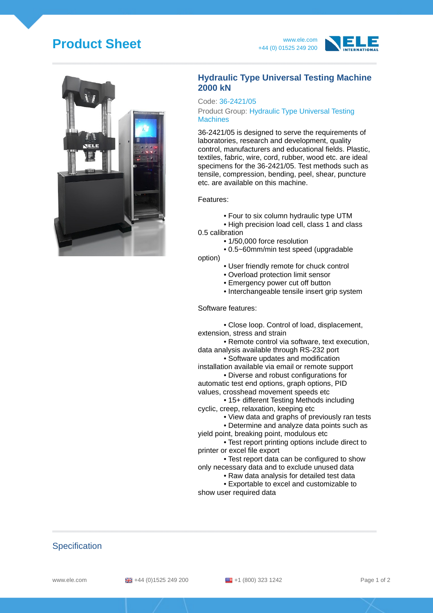# **Product Sheet** www.ele.com







### **Hydraulic Type Universal Testing Machine 2000 kN**

#### Code: 36-2421/05

Product Group: Hydraulic Type Universal Testing **Machines** 

36-2421/05 is designed to serve the requirements of laboratories, research and development, quality control, manufacturers and educational fields. Plastic, textiles, fabric, wire, cord, rubber, wood etc. are ideal specimens for the 36-2421/05. Test methods such as tensile, compression, bending, peel, shear, puncture etc. are available on this machine.

Features:

- Four to six column hydraulic type UTM
- High precision load cell, class 1 and class 0.5 calibration
	- 1/50,000 force resolution
	- 0.5~60mm/min test speed (upgradable

option)

- User friendly remote for chuck control
- Overload protection limit sensor
- Emergency power cut off button
- Interchangeable tensile insert grip system

#### Software features:

• Close loop. Control of load, displacement, extension, stress and strain

• Remote control via software, text execution, data analysis available through RS-232 port

- Software updates and modification installation available via email or remote support
- Diverse and robust configurations for
- automatic test end options, graph options, PID values, crosshead movement speeds etc

• 15+ different Testing Methods including cyclic, creep, relaxation, keeping etc

- View data and graphs of previously ran tests
- Determine and analyze data points such as

yield point, breaking point, modulous etc

• Test report printing options include direct to printer or excel file export

• Test report data can be configured to show only necessary data and to exclude unused data

• Raw data analysis for detailed test data

• Exportable to excel and customizable to show user required data

## **Specification**